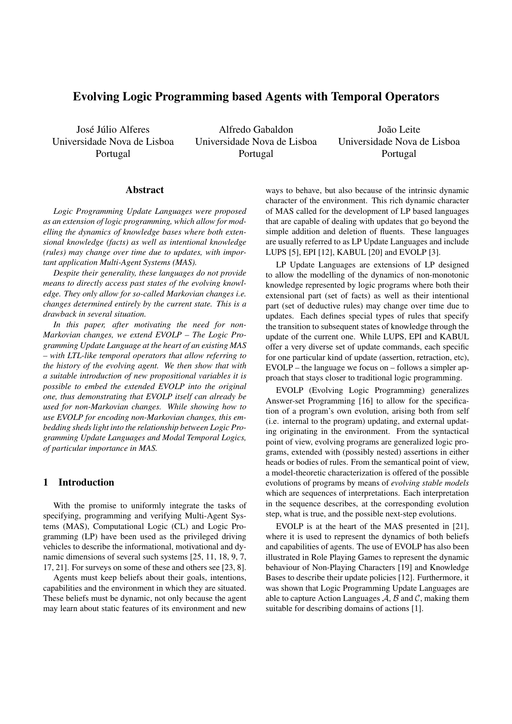# **Evolving Logic Programming based Agents with Temporal Operators**

José Júlio Alferes Universidade Nova de Lisboa Portugal

Alfredo Gabaldon Universidade Nova de Lisboa Portugal

João Leite Universidade Nova de Lisboa Portugal

### **Abstract**

*Logic Programming Update Languages were proposed as an extension of logic programming, which allow for modelling the dynamics of knowledge bases where both extensional knowledge (facts) as well as intentional knowledge (rules) may change over time due to updates, with important application Multi-Agent Systems (MAS).*

*Despite their generality, these languages do not provide means to directly access past states of the evolving knowledge. They only allow for so-called Markovian changes i.e. changes determined entirely by the current state. This is a drawback in several situation.*

*In this paper, after motivating the need for non-Markovian changes, we extend EVOLP – The Logic Programming Update Language at the heart of an existing MAS – with LTL-like temporal operators that allow referring to the history of the evolving agent. We then show that with a suitable introduction of new propositional variables it is possible to embed the extended EVOLP into the original one, thus demonstrating that EVOLP itself can already be used for non-Markovian changes. While showing how to use EVOLP for encoding non-Markovian changes, this embedding sheds light into the relationship between Logic Programming Update Languages and Modal Temporal Logics, of particular importance in MAS.*

### **1 Introduction**

With the promise to uniformly integrate the tasks of specifying, programming and verifying Multi-Agent Systems (MAS), Computational Logic (CL) and Logic Programming (LP) have been used as the privileged driving vehicles to describe the informational, motivational and dynamic dimensions of several such systems [25, 11, 18, 9, 7, 17, 21]. For surveys on some of these and others see [23, 8].

Agents must keep beliefs about their goals, intentions, capabilities and the environment in which they are situated. These beliefs must be dynamic, not only because the agent may learn about static features of its environment and new ways to behave, but also because of the intrinsic dynamic character of the environment. This rich dynamic character of MAS called for the development of LP based languages that are capable of dealing with updates that go beyond the simple addition and deletion of fluents. These languages are usually referred to as LP Update Languages and include LUPS [5], EPI [12], KABUL [20] and EVOLP [3].

LP Update Languages are extensions of LP designed to allow the modelling of the dynamics of non-monotonic knowledge represented by logic programs where both their extensional part (set of facts) as well as their intentional part (set of deductive rules) may change over time due to updates. Each defines special types of rules that specify the transition to subsequent states of knowledge through the update of the current one. While LUPS, EPI and KABUL offer a very diverse set of update commands, each specific for one particular kind of update (assertion, retraction, etc), EVOLP – the language we focus on – follows a simpler approach that stays closer to traditional logic programming.

EVOLP (Evolving Logic Programming) generalizes Answer-set Programming [16] to allow for the specification of a program's own evolution, arising both from self (i.e. internal to the program) updating, and external updating originating in the environment. From the syntactical point of view, evolving programs are generalized logic programs, extended with (possibly nested) assertions in either heads or bodies of rules. From the semantical point of view, a model-theoretic characterization is offered of the possible evolutions of programs by means of *evolving stable models* which are sequences of interpretations. Each interpretation in the sequence describes, at the corresponding evolution step, what is true, and the possible next-step evolutions.

EVOLP is at the heart of the MAS presented in [21], where it is used to represent the dynamics of both beliefs and capabilities of agents. The use of EVOLP has also been illustrated in Role Playing Games to represent the dynamic behaviour of Non-Playing Characters [19] and Knowledge Bases to describe their update policies [12]. Furthermore, it was shown that Logic Programming Update Languages are able to capture Action Languages  $\mathcal{A}, \mathcal{B}$  and  $\mathcal{C}$ , making them suitable for describing domains of actions [1].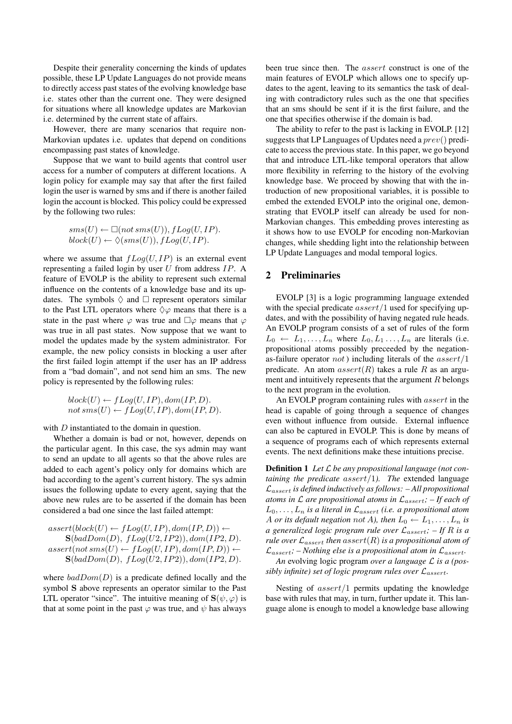Despite their generality concerning the kinds of updates possible, these LP Update Languages do not provide means to directly access past states of the evolving knowledge base i.e. states other than the current one. They were designed for situations where all knowledge updates are Markovian i.e. determined by the current state of affairs.

However, there are many scenarios that require non-Markovian updates i.e. updates that depend on conditions encompassing past states of knowledge.

Suppose that we want to build agents that control user access for a number of computers at different locations. A login policy for example may say that after the first failed login the user is warned by sms and if there is another failed login the account is blocked. This policy could be expressed by the following two rules:

$$
sms(U) \leftarrow \square(not\,sms(U)), fLog(U, IP).
$$
  

$$
block(U) \leftarrow \lozenge(sms(U)), fLog(U, IP).
$$

where we assume that  $fLog(U, IP)$  is an external event representing a failed login by user  $U$  from address  $IP$ . A feature of EVOLP is the ability to represent such external influence on the contents of a knowledge base and its updates. The symbols  $\Diamond$  and  $\Box$  represent operators similar to the Past LTL operators where  $\Diamond \varphi$  means that there is a state in the past where  $\varphi$  was true and  $\square \varphi$  means that  $\varphi$ was true in all past states. Now suppose that we want to model the updates made by the system administrator. For example, the new policy consists in blocking a user after the first failed login attempt if the user has an IP address from a "bad domain", and not send him an sms. The new policy is represented by the following rules:

$$
block(U) \leftarrow fLog(U, IP), dom(IP, D).
$$
  

$$
not \, sms(U) \leftarrow fLog(U, IP), dom(IP, D).
$$

with *D* instantiated to the domain in question.

Whether a domain is bad or not, however, depends on the particular agent. In this case, the sys admin may want to send an update to all agents so that the above rules are added to each agent's policy only for domains which are bad according to the agent's current history. The sys admin issues the following update to every agent, saying that the above new rules are to be asserted if the domain has been considered a bad one since the last failed attempt:

 $assert(block(U) \leftarrow fLog(U, IP), dom/IP, D)) \leftarrow$  $\mathbf{S}(badDom(D), fLog(U2, IP2)), dom(ID, D).$  $assert(not\,sms(U) \leftarrow fLog(U, IP), dom/IP, D)) \leftarrow$  $\mathbf{S}(badDom(D), fLog(U2, IP2)), dom(ID, D).$ 

where  $badDom(D)$  is a predicate defined locally and the symbol **S** above represents an operator similar to the Past LTL operator "since". The intuitive meaning of  $\mathbf{S}(\psi,\varphi)$  is that at some point in the past  $\varphi$  was true, and  $\psi$  has always been true since then. The assert construct is one of the main features of EVOLP which allows one to specify updates to the agent, leaving to its semantics the task of dealing with contradictory rules such as the one that specifies that an sms should be sent if it is the first failure, and the one that specifies otherwise if the domain is bad.

The ability to refer to the past is lacking in EVOLP. [12] suggests that LP Languages of Updates need a prev() predicate to access the previous state. In this paper, we go beyond that and introduce LTL-like temporal operators that allow more flexibility in referring to the history of the evolving knowledge base. We proceed by showing that with the introduction of new propositional variables, it is possible to embed the extended EVOLP into the original one, demonstrating that EVOLP itself can already be used for non-Markovian changes. This embedding proves interesting as it shows how to use EVOLP for encoding non-Markovian changes, while shedding light into the relationship between LP Update Languages and modal temporal logics.

## **2 Preliminaries**

EVOLP [3] is a logic programming language extended with the special predicate  $assert/1$  used for specifying updates, and with the possibility of having negated rule heads. An EVOLP program consists of a set of rules of the form  $L_0 \leftarrow L_1, \ldots, L_n$  where  $L_0, L_1, \ldots, L_n$  are literals (i.e. propositional atoms possibly preceeded by the negationas-failure operator  $not$ ) including literals of the  $assert/1$ predicate. An atom  $assert(R)$  takes a rule R as an argument and intuitively represents that the argument  $R$  belongs to the next program in the evolution.

An EVOLP program containing rules with *assert* in the head is capable of going through a sequence of changes even without influence from outside. External influence can also be captured in EVOLP. This is done by means of a sequence of programs each of which represents external events. The next definitions make these intuitions precise.

**Definition 1** *Let* L *be any propositional language (not containing the predicate* assert/1*). The* extended language L*assert is defined inductively as follows: – All propositional atoms in* L *are propositional atoms in* L*assert; – If each of*  $L_0, \ldots, L_n$  *is a literal in*  $\mathcal{L}_{assert}$  *(i.e. a propositional atom* A *or its default negation not A*), then  $L_0 \leftarrow L_1, \ldots, L_n$  is *a generalized logic program rule over* L*assert; – If* R *is a rule over*  $\mathcal{L}_{assert}$  *then* assert(*R*) *is a propositional atom of*  $\mathcal{L}_{assert}$ ; – Nothing else is a propositional atom in  $\mathcal{L}_{assert}$ .

*An* evolving logic program *over a language* L *is a (possibly infinite) set of logic program rules over* L*assert.*

Nesting of assert/1 permits updating the knowledge base with rules that may, in turn, further update it. This language alone is enough to model a knowledge base allowing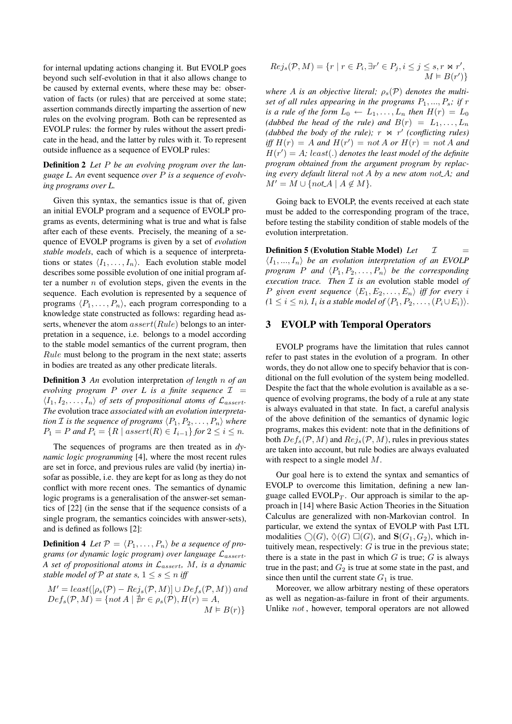for internal updating actions changing it. But EVOLP goes beyond such self-evolution in that it also allows change to be caused by external events, where these may be: observation of facts (or rules) that are perceived at some state; assertion commands directly imparting the assertion of new rules on the evolving program. Both can be represented as EVOLP rules: the former by rules without the assert predicate in the head, and the latter by rules with it. To represent outside influence as a sequence of EVOLP rules:

**Definition 2** *Let* P *be an evolving program over the language L. An* event sequence *over* P *is a sequence of evolving programs over L.*

Given this syntax, the semantics issue is that of, given an initial EVOLP program and a sequence of EVOLP programs as events, determining what is true and what is false after each of these events. Precisely, the meaning of a sequence of EVOLP programs is given by a set of *evolution stable models*, each of which is a sequence of interpretations or states  $\langle I_1,\ldots,I_n\rangle$ . Each evolution stable model describes some possible evolution of one initial program after a number  $n$  of evolution steps, given the events in the sequence. Each evolution is represented by a sequence of programs  $\langle P_1,\ldots,P_n \rangle$ , each program corresponding to a knowledge state constructed as follows: regarding head asserts, whenever the atom  $assert(Rule)$  belongs to an interpretation in a sequence, i.e. belongs to a model according to the stable model semantics of the current program, then Rule must belong to the program in the next state; asserts in bodies are treated as any other predicate literals.

**Definition 3** *An* evolution interpretation *of length* n *of an evolving program P over L is a finite sequence*  $\mathcal{I}$  =  $\langle I_1, I_2, \ldots, I_n \rangle$  of sets of propositional atoms of  $\mathcal{L}_{assert}$ . *The* evolution trace *associated with an evolution interpretation I is the sequence of programs*  $\langle P_1, P_2, \ldots, P_n \rangle$  *where*  $P_1 = P$  *and*  $P_i = \{R \mid assert(R) \in I_{i-1}\}$  *for*  $2 \le i \le n$ *.* 

The sequences of programs are then treated as in *dynamic logic programming* [4], where the most recent rules are set in force, and previous rules are valid (by inertia) insofar as possible, i.e. they are kept for as long as they do not conflict with more recent ones. The semantics of dynamic logic programs is a generalisation of the answer-set semantics of [22] (in the sense that if the sequence consists of a single program, the semantics coincides with answer-sets), and is defined as follows [2]:

**Definition 4** Let  $P = \langle P_1, \ldots, P_n \rangle$  be a sequence of pro*grams (or dynamic logic program) over language* L*assert. A set of propositional atoms in* L*assert,* M*, is a dynamic stable model of*  $P$  *at state*  $s, 1 \leq s \leq n$  *iff* 

$$
M' = least([\rho_s(\mathcal{P}) - Rej_s(\mathcal{P}, M)] \cup Def_s(\mathcal{P}, M)) \text{ and}
$$
  

$$
Def_s(\mathcal{P}, M) = \{ not \ A \mid \nexists r \in \rho_s(\mathcal{P}), H(r) = A,
$$
  

$$
M \models B(r) \}
$$

$$
Rej_s(\mathcal{P}, M) = \{r \mid r \in P_i, \exists r' \in P_j, i \le j \le s, r \bowtie r',\newline M \models B(r')\}
$$

*where* A *is an objective literal;*  $\rho_s(\mathcal{P})$  *denotes the multiset of all rules appearing in the programs*  $P_1, ..., P_s$ *; if* r *is a rule of the form*  $L_0 \leftarrow L_1, \ldots, L_n$  *then*  $H(r) = L_0$ *(dubbed the head of the rule) and*  $B(r) = L_1, \ldots, L_n$ *(dubbed the body of the rule);*  $r \Join r'$  *(conflicting rules) iff*  $H(r) = A$  *and*  $H(r') = not A$  *or*  $H(r) = not A$  *and*  $H(r') = A$ ; least(.) denotes the least model of the definite *program obtained from the argument program by replacing every default literal not A by a new atom not.A; and*  $M' = M \cup \{ notA \mid A \notin M \}.$ 

Going back to EVOLP, the events received at each state must be added to the corresponding program of the trace, before testing the stability condition of stable models of the evolution interpretation.

**Definition 5 (Evolution Stable Model)** *Let*  $I$  $\langle I_1, ..., I_n \rangle$  be an evolution interpretation of an EVOLP *program P and*  $\langle P_1, P_2, \ldots, P_n \rangle$  *be the corresponding execution trace. Then*  $I$  *is an evolution stable model of* P given event sequence  $\langle E_1, E_2, \ldots, E_n \rangle$  iff for every i  $(1 \leq i \leq n)$ ,  $I_i$  *is a stable model of*  $\langle P_1, P_2, \ldots, (P_i \cup E_i) \rangle$ .

## **3 EVOLP with Temporal Operators**

EVOLP programs have the limitation that rules cannot refer to past states in the evolution of a program. In other words, they do not allow one to specify behavior that is conditional on the full evolution of the system being modelled. Despite the fact that the whole evolution is available as a sequence of evolving programs, the body of a rule at any state is always evaluated in that state. In fact, a careful analysis of the above definition of the semantics of dynamic logic programs, makes this evident: note that in the definitions of both  $Def_s(\mathcal{P}, M)$  and  $Ref_s(\mathcal{P}, M)$ , rules in previous states are taken into account, but rule bodies are always evaluated with respect to a single model M.

Our goal here is to extend the syntax and semantics of EVOLP to overcome this limitation, defining a new language called  $EVOLP_T$ . Our approach is similar to the approach in [14] where Basic Action Theories in the Situation Calculus are generalized with non-Markovian control. In particular, we extend the syntax of EVOLP with Past LTL modalities  $\bigcirc(G)$ ,  $\Diamond(G) \square(G)$ , and  $\mathbf{S}(G_1, G_2)$ , which intuitively mean, respectively:  $G$  is true in the previous state; there is a state in the past in which  $G$  is true;  $G$  is always true in the past; and  $G_2$  is true at some state in the past, and since then until the current state  $G_1$  is true.

Moreover, we allow arbitrary nesting of these operators as well as negation-as-failure in front of their arguments. Unlike not, however, temporal operators are not allowed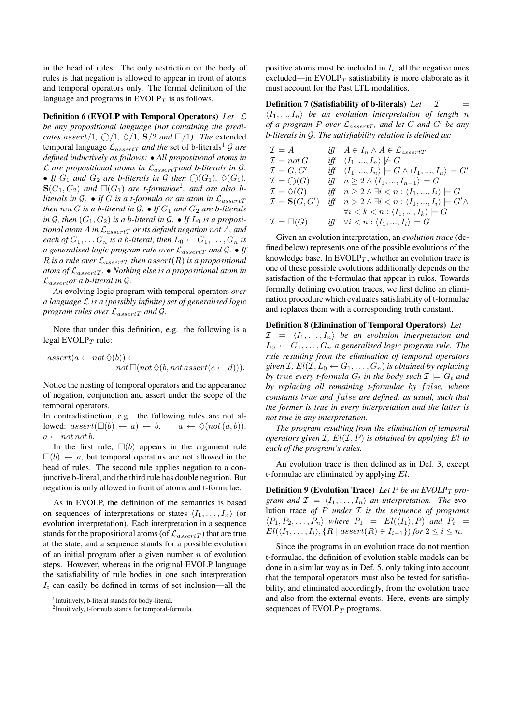in the head of rules. The only restriction on the body of rules is that negation is allowed to appear in front of atoms and temporal operators only. The formal definition of the language and programs in EVOLP*<sup>T</sup>* is as follows.

**Definition 6 (EVOLP with Temporal Operators)** *Let* L *be any propositional language (not containing the predicates* assert/1,  $\bigcirc$ /1,  $\Diamond$ /1, **S**/2 *and*  $\Box$ /1*). The* extended temporal language  $\mathcal{L}_{assertT}$  *and the* set of b-literals<sup>1</sup>  $\mathcal G$  *are defined inductively as follows:* • *All propositional atoms in* L *are propositional atoms in* L*assertT and b-literals in* G*.* • If  $G_1$  and  $G_2$  are b-literals in  $\mathcal G$  then  $\bigcirc(G_1)$ ,  $\Diamond(G_1)$ ,  $\mathbf{S}(G_1,G_2)$  and  $\square(G_1)$  are t-formulae<sup>2</sup>, and are also b*literals in* G*.* • *If* G *is a t-formula or an atom in* L*assertT then* not G *is a b-literal in*  $G$ .  $\bullet$  *If*  $G_1$  *and*  $G_2$  *are b-literals in*  $G$ *, then*  $(G_1, G_2)$  *is a b-literal in*  $G$ . • *If*  $L_0$  *is a propositional atom* A *in* L*assertT or its default negation* not A*, and each of*  $G_1, \ldots, G_n$  *is a b-literal, then*  $L_0 \leftarrow G_1, \ldots, G_n$  *is a generalised logic program rule over* L*assertT and* G*.* • *If* R *is a rule over*  $\mathcal{L}_{assertT}$  *then* assert(R) *is a propositional atom of* L*assertT .* • *Nothing else is a propositional atom in* L*assertor a b-literal in* G*.*

*An* evolving logic program with temporal operators *over a language* L *is a (possibly infinite) set of generalised logic program rules over* L*assertT and* G*.*

Note that under this definition, e.g. the following is a legal EVOLP*<sup>T</sup>* rule:

$$
assert(a \leftarrow not \Diamond(b)) \leftarrownot \Box(not \Diamond(b, not assert(c \leftarrow d))).
$$

Notice the nesting of temporal operators and the appearance of negation, conjunction and assert under the scope of the temporal operators.

In contradistinction, e.g. the following rules are not allowed:  $assert(\Box(b) \leftarrow a) \leftarrow b$ .  $a \leftarrow \Diamond (not(a, b)).$  $a \leftarrow not not b.$ 

In the first rule,  $\square(b)$  appears in the argument rule  $\square(b) \leftarrow a$ , but temporal operators are not allowed in the head of rules. The second rule applies negation to a conjunctive b-literal, and the third rule has double negation. But negation is only allowed in front of atoms and t-formulae.

As in EVOLP, the definition of the semantics is based on sequences of interpretations or states  $\langle I_1, \ldots, I_n \rangle$  (or evolution interpretation). Each interpretation in a sequence stands for the propositional atoms (of  $\mathcal{L}_{assertT}$ ) that are true at the state, and a sequence stands for a possible evolution of an initial program after a given number  $n$  of evolution steps. However, whereas in the original EVOLP language the satisfiability of rule bodies in one such interpretation  $I_i$  can easily be defined in terms of set inclusion—all the positive atoms must be included in  $I_i$ , all the negative ones excluded—in  $EVOLP_T$  satisfiability is more elaborate as it must account for the Past LTL modalities.

**Definition 7 (Satisfiability of b-literals)** Let  $I =$  $\langle I_1, ..., I_n \rangle$  be an evolution interpretation of length n *of a program P over*  $\mathcal{L}_{assertT}$ , and let G and G' be any *b-literals in* G*. The satisfiability relation is defined as:*

| $\mathcal{I} \models A$                | iff $A \in I_n \wedge A \in \mathcal{L}_{assertT}$                                     |
|----------------------------------------|----------------------------------------------------------------------------------------|
| $\mathcal{I} \models not\, G$          | iff $\langle I_1, , I_n \rangle \not\models G$                                         |
| $\mathcal{I} \models G, G'$            | iff $\langle I_1, , I_n \rangle \models G \land \langle I_1, , I_n \rangle \models G'$ |
| $\mathcal{I} \models \bigcirc(G)$      | iff $n \geq 2 \wedge \langle I_1, , I_{n-1} \rangle \models G$                         |
| $\mathcal{I} \models \Diamond(G)$      | iff $n \geq 2 \wedge \exists i \leq n : \langle I_1, , I_i \rangle \models G$          |
| $\mathcal{I} \models \mathbf{S}(G,G')$ | iff $n > 2 \wedge \exists i < n : \langle I_1, , I_i \rangle \models G' \wedge$        |
|                                        | $\forall i < k < n : \langle I_1, , I_k \rangle \models G$                             |
| $\mathcal{I} \models \Box(G)$          | iff $\forall i \leq n : \langle I_1, , I_i \rangle \models G$                          |

Given an evolution interpretation, an *evolution trace* (defined below) represents one of the possible evolutions of the knowledge base. In EVOLP $_T$ , whether an evolution trace is one of these possible evolutions additionally depends on the satisfaction of the t-formulae that appear in rules. Towards formally defining evolution traces, we first define an elimination procedure which evaluates satisfiability of t-formulae and replaces them with a corresponding truth constant.

#### **Definition 8 (Elimination of Temporal Operators)** *Let*

 $\mathcal{I} = \langle I_1, \ldots, I_n \rangle$  be an evolution interpretation and  $L_0 \leftarrow G_1, \ldots, G_n$  *a generalised logic program rule. The rule resulting from the elimination of temporal operators* given *I*,  $El(\mathcal{I}, L_0 \leftarrow G_1, \ldots, G_n)$  *is obtained by replacing by true every t-formula*  $G_t$  *in the body such*  $\mathcal{I} \models G_t$  *and by replacing all remaining t-formulae by false, where constants* true *and* f alse *are defined, as usual, such that the former is true in every interpretation and the latter is not true in any interpretation.*

*The program resulting from the elimination of temporal operators given*  $I$ ,  $El(I, P)$  *is obtained by applying*  $El$  *to each of the program's rules.*

An evolution trace is then defined as in Def. 3, except t-formulae are eliminated by applying  $El$ .

**Definition 9 (Evolution Trace)** *Let* P *be an EVOLP<sup>T</sup> program and*  $\mathcal{I} = \langle I_1, \ldots, I_n \rangle$  *an interpretation. The evo*lution trace *of* P *under* I *is the sequence of programs*  $\langle P_1, P_2, \ldots, P_n \rangle$  *where*  $P_1 = El(\langle I_1 \rangle, P)$  *and*  $P_i =$  $El(\langle I_1,\ldots,I_i\rangle,\{R \mid assert(R) \in I_{i-1}\}\rangle)$  *for*  $2 \leq i \leq n$ *.* 

Since the programs in an evolution trace do not mention t-formulae, the definition of evolution stable models can be done in a similar way as in Def. 5, only taking into account that the temporal operators must also be tested for satisfiability, and eliminated accordingly, from the evolution trace and also from the external events. Here, events are simply sequences of EVOLP*<sup>T</sup>* programs.

<sup>&</sup>lt;sup>1</sup>Intuitively, b-literal stands for body-literal.

<sup>2</sup>Intuitively, t-formula stands for temporal-formula.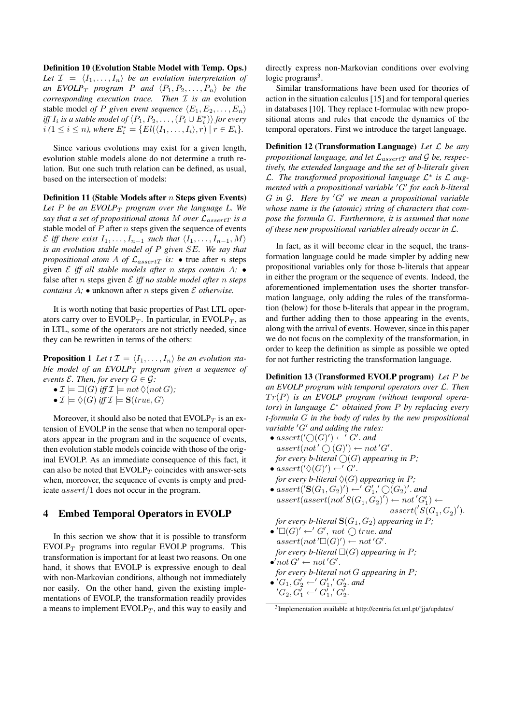**Definition 10 (Evolution Stable Model with Temp. Ops.)** Let  $\mathcal{I} = \langle I_1, \ldots, I_n \rangle$  be an evolution interpretation of *an EVOLP*<sub>*T*</sub> *program P and*  $\langle P_1, P_2, \ldots, P_n \rangle$  *be the corresponding execution trace. Then* I *is an* evolution stable model *of* P given event sequence  $\langle E_1, E_2, \ldots, E_n \rangle$ *iff*  $I_i$  *is a stable model of*  $\langle P_1, P_2, \ldots, (P_i \cup E_i^*) \rangle$  for every  $i (1 \leq i \leq n)$ , where  $E_i^* = \{ El(\langle I_1, \ldots, I_i \rangle, r) \mid r \in E_i \}.$ 

Since various evolutions may exist for a given length, evolution stable models alone do not determine a truth relation. But one such truth relation can be defined, as usual, based on the intersection of models:

**Definition 11 (Stable Models after** n **Steps given Events)** *Let* P *be an EVOLP<sup>T</sup> program over the language L. We say that a set of propositional atoms* M *over* L*assertT is a* stable model of  $P$  after  $n$  steps given the sequence of events E iff there exist  $I_1, \ldots, I_{n-1}$  such that  $\langle I_1, \ldots, I_{n-1}, M \rangle$ *is an evolution stable model of* P *given* SE*. We say that propositional atom A of*  $\mathcal{L}_{assertT}$  *is:* • true after *n* steps given E *iff all stable models after* n *steps contain* A*;* • false after n steps given E *iff no stable model after* n *steps contains*  $A$ *;*  $\bullet$  unknown after *n* steps given  $\mathcal E$  *otherwise.* 

It is worth noting that basic properties of Past LTL operators carry over to  $EVOLP_T$ . In particular, in  $EVOLP_T$ , as in LTL, some of the operators are not strictly needed, since they can be rewritten in terms of the others:

**Proposition 1** Let  $t \mathcal{I} = \langle I_1, \ldots, I_n \rangle$  be an evolution sta*ble model of an EVOLP<sup>T</sup> program given a sequence of events*  $\mathcal{E}$ *. Then, for every*  $G \in \mathcal{G}$ *:* 

•  $\mathcal{I} \models \Box(G)$  *iff*  $\mathcal{I} \models not \Diamond (not \ G)$ *;* 

•  $\mathcal{I} \models \Diamond(G)$  *iff*  $\mathcal{I} \models S(true, G)$ 

Moreover, it should also be noted that  $EVOLP_T$  is an extension of EVOLP in the sense that when no temporal operators appear in the program and in the sequence of events, then evolution stable models coincide with those of the original EVOLP. As an immediate consequence of this fact, it can also be noted that  $EVOLP_T$  coincides with answer-sets when, moreover, the sequence of events is empty and predicate assert/1 does not occur in the program.

## **4 Embed Temporal Operators in EVOLP**

In this section we show that it is possible to transform  $EVOLP_T$  programs into regular EVOLP programs. This transformation is important for at least two reasons. On one hand, it shows that EVOLP is expressive enough to deal with non-Markovian conditions, although not immediately nor easily. On the other hand, given the existing implementations of EVOLP, the transformation readily provides a means to implement  $EVOLP_T$ , and this way to easily and directly express non-Markovian conditions over evolving logic programs $3$ .

Similar transformations have been used for theories of action in the situation calculus [15] and for temporal queries in databases [10]. They replace t-formulae with new propositional atoms and rules that encode the dynamics of the temporal operators. First we introduce the target language.

**Definition 12 (Transformation Language)** *Let* L *be any propositional language, and let* L*assertT and* G *be, respectively, the extended language and the set of b-literals given* L*. The transformed propositional language* L<sup>∗</sup> *is* L *aug*mented with a propositional variable 'G' for each b-literal G in G. Here by 'G' we mean a propositional variable *whose name is the (atomic) string of characters that compose the formula* G*. Furthermore, it is assumed that none of these new propositional variables already occur in* L*.*

In fact, as it will become clear in the sequel, the transformation language could be made simpler by adding new propositional variables only for those b-literals that appear in either the program or the sequence of events. Indeed, the aforementioned implementation uses the shorter transformation language, only adding the rules of the transformation (below) for those b-literals that appear in the program, and further adding then to those appearing in the events, along with the arrival of events. However, since in this paper we do not focus on the complexity of the transformation, in order to keep the definition as simple as possible we opted for not further restricting the transformation language.

**Definition 13 (Transformed EVOLP program)** *Let* P *be an EVOLP program with temporal operators over* L*. Then* T r(P) *is an EVOLP program (without temporal operators) in language* L<sup>∗</sup> *obtained from* P *by replacing every t-formula* G *in the body of rules by the new propositional* variable 'G' and adding the rules:

- $assert(' \bigcirc(G)') \leftarrow' G'.$  and  $assert(not' \bigcirc (G)') \leftarrow not'G'.$ for every *b*-literal  $\bigcirc$  *(G)* appearing in *P*;
- assert $({\langle} \Diamond(G)') \leftarrow' G'.$ *for every b-literal*  $\Diamond$ (*G*) *appearing in P*;
- $\bullet$  assert(' $\mathbf{S}(G_1, G_2)'$ )  $\leftarrow' G_1',' \bigcirc (G_2)'$ . and  $assert(assert(not'S(G_1, G_2)') \leftarrow not'G'_1) \leftarrow$  $assert('S(G<sub>1</sub>, G<sub>2</sub>)').$
- *for every b-literal*  $\mathbf{S}(G_1, G_2)$  *appearing in P*;  $\bullet$  ' $\Box(G)' \leftarrow' G'$ , not  $\bigcirc$  true. and  $assert(not' \Box(G)') \leftarrow not' G'.$ *for every b-literal*  $\square(G)$  *appearing in*  $P$ *;*
- $\bullet' not G' \leftarrow not' G'.$ *for every b-literal* not G *appearing in* P*;*
- $'G_1, G'_2 \leftarrow' G'_1, G'_2$ . and  $'G_2, G'_1 \leftarrow' G'_1, G'_2.$

<sup>&</sup>lt;sup>3</sup>Implementation available at http://centria.fct.unl.pt/~ija/updates/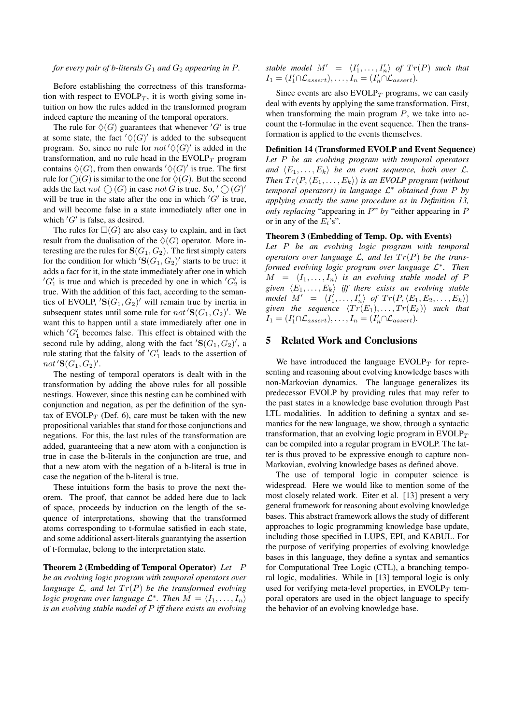### *for every pair of b-literals*  $G_1$  *and*  $G_2$  *appearing in*  $P$ *.*

Before establishing the correctness of this transformation with respect to  $EVOLP_T$ , it is worth giving some intuition on how the rules added in the transformed program indeed capture the meaning of the temporal operators.

The rule for  $\Diamond(G)$  guarantees that whenever  $'G'$  is true at some state, the fact  $\sqrt{(G)}'$  is added to the subsequent program. So, since no rule for  $not' \Diamond (G)'$  is added in the transformation, and no rule head in the  $EVOLP_T$  program contains  $\Diamond(G)$ , from then onwards  $'\Diamond(G)'$  is true. The first rule for  $\bigcirc(G)$  is similar to the one for  $\Diamond(G).$  But the second adds the fact  $not \bigcirc (G)$  in case  $not G$  is true. So,  $' \bigcirc (G)'$ will be true in the state after the one in which  $'G'$  is true, and will become false in a state immediately after one in which  $'G'$  is false, as desired.

The rules for  $\square(G)$  are also easy to explain, and in fact result from the dualisation of the  $\Diamond(G)$  operator. More interesting are the rules for  $S(G_1, G_2)$ . The first simply caters for the condition for which  $'\mathbf{S}(G_1, G_2)'$  starts to be true: it adds a fact for it, in the state immediately after one in which  $'G'_1$  is true and which is preceded by one in which  $'G'_2$  is true. With the addition of this fact, according to the semantics of EVOLP,  $'\mathbf{S}(G_1, G_2)'\$  will remain true by inertia in subsequent states until some rule for  $not' S(G_1, G_2)'$ . We want this to happen until a state immediately after one in which  $'G'_1$  becomes false. This effect is obtained with the second rule by adding, along with the fact  $'\mathbf{S}(G_1, G_2)'.$  a rule stating that the falsity of  $'G'_1$  leads to the assertion of not' $\mathbf{S}(G_1, G_2)$ '.

The nesting of temporal operators is dealt with in the transformation by adding the above rules for all possible nestings. However, since this nesting can be combined with conjunction and negation, as per the definition of the syntax of EVOLP<sub>*T*</sub> (Def. 6), care must be taken with the new propositional variables that stand for those conjunctions and negations. For this, the last rules of the transformation are added, guaranteeing that a new atom with a conjunction is true in case the b-literals in the conjunction are true, and that a new atom with the negation of a b-literal is true in case the negation of the b-literal is true.

These intuitions form the basis to prove the next theorem. The proof, that cannot be added here due to lack of space, proceeds by induction on the length of the sequence of interpretations, showing that the transformed atoms corresponding to t-formulae satisfied in each state, and some additional assert-literals guarantying the assertion of t-formulae, belong to the interpretation state.

**Theorem 2 (Embedding of Temporal Operator)** *Let* P *be an evolving logic program with temporal operators over language*  $\mathcal{L}$ *, and let*  $Tr(P)$  *be the transformed evolving logic program over language*  $\mathcal{L}^*$ *. Then*  $M = \langle I_1, \ldots, I_n \rangle$ *is an evolving stable model of* P *iff there exists an evolving* *stable model*  $M' = \langle I'_1, \ldots, I'_n \rangle$  *of*  $Tr(P)$  *such that*  $I_1 = (I'_1 \cap \mathcal{L}_{assert}), \ldots, I_n = (I'_n \cap \mathcal{L}_{assert}).$ 

Since events are also  $EVOLP_T$  programs, we can easily deal with events by applying the same transformation. First, when transforming the main program  $P$ , we take into account the t-formulae in the event sequence. Then the transformation is applied to the events themselves.

**Definition 14 (Transformed EVOLP and Event Sequence)** *Let* P *be an evolving program with temporal operators and*  $\langle E_1, \ldots, E_k \rangle$  *be an event sequence, both over*  $\mathcal{L}$ *. Then*  $Tr(P, \langle E_1, \ldots, E_k \rangle)$  *is an EVOLP program (without temporal operators) in language* L<sup>∗</sup> *obtained from* P *by applying exactly the same procedure as in Definition 13, only replacing* "appearing in P" *by* "either appearing in P or in any of the  $E_i$ 's".

#### **Theorem 3 (Embedding of Temp. Op. with Events)**

*Let* P *be an evolving logic program with temporal operators over language*  $\mathcal{L}$ *, and let*  $Tr(P)$  *be the transformed evolving logic program over language* L∗*. Then*  $M = \langle I_1, \ldots, I_n \rangle$  *is an evolving stable model of* P *given*  $\langle E_1, \ldots, E_k \rangle$  *iff there exists an evolving stable*  $\textit{model} \ M' = \ \langle I'_1, \ldots, I'_n \rangle \ \textit{of} \ Tr(P, \langle E_1, E_2, \ldots, E_k \rangle)$ *given the sequence*  $\langle Tr(E_1),...,Tr(E_k) \rangle$  *such that*  $I_1 = (I'_1 \cap \mathcal{L}_{assert}), \ldots, I_n = (I'_n \cap \mathcal{L}_{assert}).$ 

## **5 Related Work and Conclusions**

We have introduced the language  $EVOLP_T$  for representing and reasoning about evolving knowledge bases with non-Markovian dynamics. The language generalizes its predecessor EVOLP by providing rules that may refer to the past states in a knowledge base evolution through Past LTL modalities. In addition to defining a syntax and semantics for the new language, we show, through a syntactic transformation, that an evolving logic program in  $EVOLP<sub>T</sub>$ can be compiled into a regular program in EVOLP. The latter is thus proved to be expressive enough to capture non-Markovian, evolving knowledge bases as defined above.

The use of temporal logic in computer science is widespread. Here we would like to mention some of the most closely related work. Eiter et al. [13] present a very general framework for reasoning about evolving knowledge bases. This abstract framework allows the study of different approaches to logic programming knowledge base update, including those specified in LUPS, EPI, and KABUL. For the purpose of verifying properties of evolving knowledge bases in this language, they define a syntax and semantics for Computational Tree Logic (CTL), a branching temporal logic, modalities. While in [13] temporal logic is only used for verifying meta-level properties, in  $EVOLP_T$  temporal operators are used in the object language to specify the behavior of an evolving knowledge base.